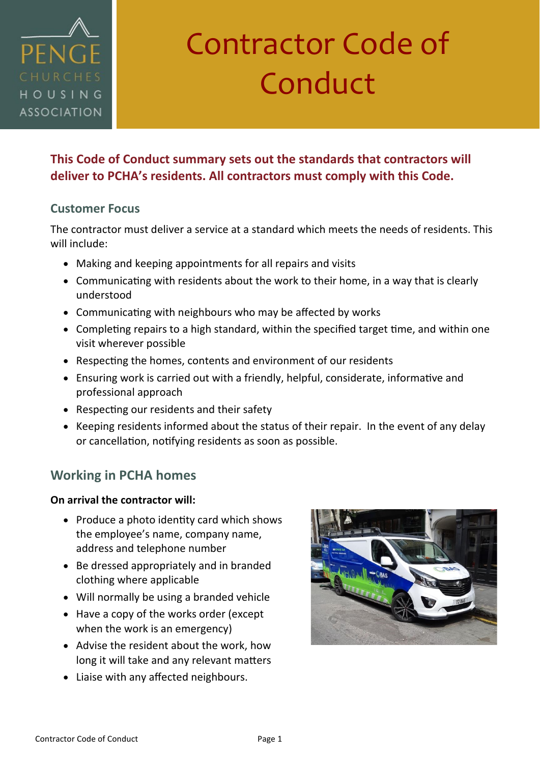

# Contractor Code of Conduct

#### **This Code of Conduct summary sets out the standards that contractors will deliver to PCHA's residents. All contractors must comply with this Code.**

#### **Customer Focus**

The contractor must deliver a service at a standard which meets the needs of residents. This will include:

- Making and keeping appointments for all repairs and visits
- Communicating with residents about the work to their home, in a way that is clearly understood
- Communicating with neighbours who may be affected by works
- Completing repairs to a high standard, within the specified target time, and within one visit wherever possible
- Respecting the homes, contents and environment of our residents
- Ensuring work is carried out with a friendly, helpful, considerate, informative and professional approach
- Respecting our residents and their safety
- Keeping residents informed about the status of their repair. In the event of any delay or cancellation, notifying residents as soon as possible.

#### **Working in PCHA homes**

#### **On arrival the contractor will:**

- Produce a photo identity card which shows the employee's name, company name, address and telephone number
- Be dressed appropriately and in branded clothing where applicable
- Will normally be using a branded vehicle
- Have a copy of the works order (except when the work is an emergency)
- Advise the resident about the work, how long it will take and any relevant matters
- Liaise with any affected neighbours.

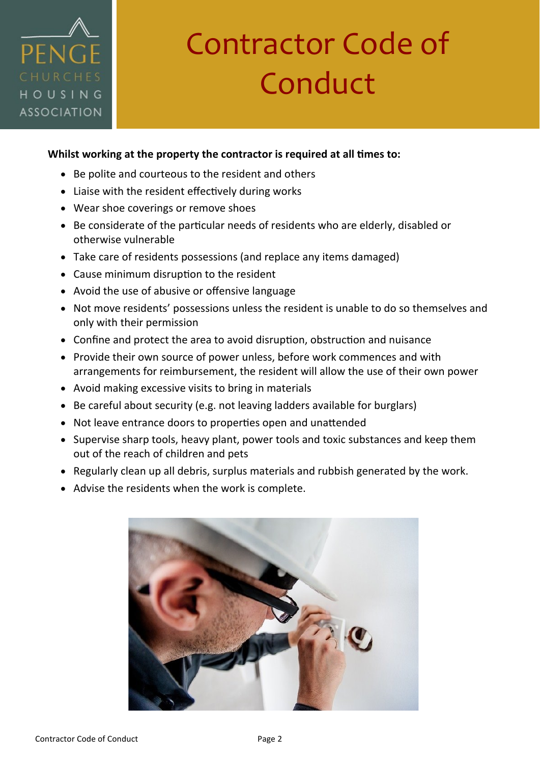### PENG HOUSING **ASSOCIATION**

## Contractor Code of Conduct

#### **Whilst working at the property the contractor is required at all times to:**

- Be polite and courteous to the resident and others
- Liaise with the resident effectively during works
- Wear shoe coverings or remove shoes
- Be considerate of the particular needs of residents who are elderly, disabled or otherwise vulnerable
- Take care of residents possessions (and replace any items damaged)
- Cause minimum disruption to the resident
- Avoid the use of abusive or offensive language
- Not move residents' possessions unless the resident is unable to do so themselves and only with their permission
- Confine and protect the area to avoid disruption, obstruction and nuisance
- Provide their own source of power unless, before work commences and with arrangements for reimbursement, the resident will allow the use of their own power
- Avoid making excessive visits to bring in materials
- Be careful about security (e.g. not leaving ladders available for burglars)
- Not leave entrance doors to properties open and unattended
- Supervise sharp tools, heavy plant, power tools and toxic substances and keep them out of the reach of children and pets
- Regularly clean up all debris, surplus materials and rubbish generated by the work.
- Advise the residents when the work is complete.